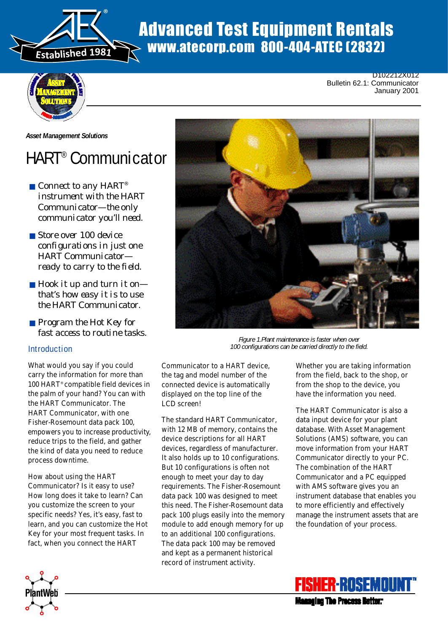

## Advanced Test Equipment Rentals www.atecorp.com 800-404-ATEC (2832)



*Asset Management Solutions*

# **HART<sup>®</sup> Communicator**

- *Connect to any HART® instrument with the HART Communicator—the only communicator you'll need.*
- *Store over 100 device configurations in just one HART Communicator ready to carry to the field.*
- *Hook it up and turn it on that's how easy it is to use the HART Communicator.*
- *Program the Hot Key for fast access to routine tasks.*

## **Introduction**

What would you say if you could carry the information for more than 100 HART® compatible field devices in the palm of your hand? You can with the HART Communicator. The HART Communicator, with one Fisher-Rosemount data pack 100, empowers you to increase productivity, reduce trips to the field, and gather the kind of data you need to reduce process downtime.

How about using the HART Communicator? Is it easy to use? How long does it take to learn? Can you customize the screen to your specific needs? Yes, it's easy, fast to learn, and you can customize the Hot Key for your most frequent tasks. In fact, when you connect the HART





**Figure 1.Plant maintenance is faster when over** *100 configurations can be carried directly to the field.*

Communicator to a HART device, the tag and model number of the connected device is automatically displayed on the top line of the LCD screen!

The standard HART Communicator, with 12 MB of memory, contains the device descriptions for all HART devices, regardless of manufacturer. It also holds up to 10 configurations. But 10 configurations is often not enough to meet your day to day requirements. The Fisher-Rosemount data pack 100 was designed to meet this need. The Fisher-Rosemount data pack 100 plugs easily into the memory module to add enough memory for up to an additional 100 configurations. The data pack 100 may be removed and kept as a permanent historical record of instrument activity.

Whether you are taking information from the field, back to the shop, or from the shop to the device, you have the information you need.

D102212X012

January 2001

Bulletin 62.1: Communicator

The HART Communicator is also a data input device for your plant database. With Asset Management Solutions (AMS) software, you can move information from your HART Communicator directly to your PC. The combination of the HART Communicator and a PC equipped with AMS software gives you an instrument database that enables you to more efficiently and effectively manage the instrument assets that are the foundation of your process.



**Managing The Precess Better:**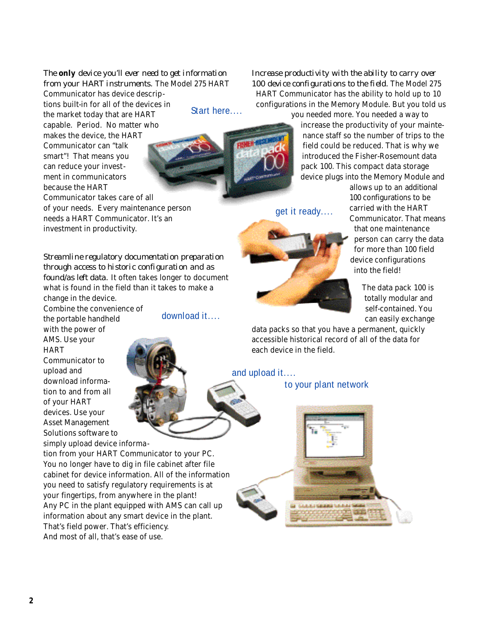## *The only device you'll ever need to get information from your HART instruments.* The Model 275 HART

Communicator has device descriptions built-in for all of the devices in the market today that are HART capable. Period. No matter who makes the device, the HART Communicator can "talk smart"! That means you can reduce your investment in communicators because the HART Communicator takes care of all of your needs. Every maintenance person needs a HART Communicator. It's an investment in productivity.

*Increase productivity with the ability to carry over 100 device configurations to the field.* The Model 275 HART Communicator has the ability to hold up to 10 configurations in the Memory Module. But you told us

you needed more. You needed a way to increase the productivity of your maintenance staff so the number of trips to the field could be reduced. That is why we introduced the Fisher-Rosemount data pack 100. This compact data storage device plugs into the Memory Module and

get it ready....

allows up to an additional 100 configurations to be carried with the HART Communicator. That means that one maintenance person can carry the data for more than 100 field device configurations into the field!

> The data pack 100 is totally modular and self-contained. You can easily exchange

data packs so that you have a permanent, quickly accessible historical record of all of the data for each device in the field.

and upload it....

to your plant network

*Streamline regulatory documentation preparation through access to historic configuration and as found/as left data.* It often takes longer to document what is found in the field than it takes to make a change in the device.

Combine the convenience of the portable handheld with the power of AMS. Use your HART Communicator to upload and download information to and from all of your HART

devices. Use your Asset Management Solutions software to download it....

Start here....

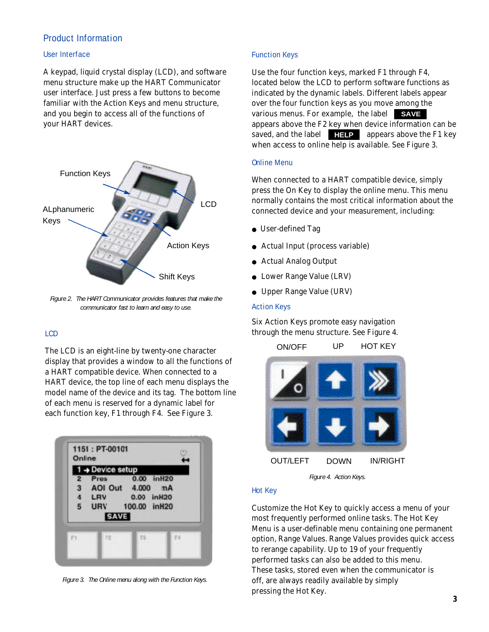## Product Information

#### User Interface

A keypad, liquid crystal display (LCD), and software menu structure make up the HART Communicator user interface. Just press a few buttons to become familiar with the Action Keys and menu structure, and you begin to access all of the functions of your HART devices.



*Figure 2. The HART Communicator provides features that make the communicator fast to learn and easy to use.*

### **LCD**

The LCD is an eight-line by twenty-one character display that provides a window to all the functions of a HART compatible device. When connected to a HART device, the top line of each menu displays the model name of the device and its tag. The bottom line of each menu is reserved for a dynamic label for each function key, F1 through F4. See Figure 3.



*Figure 3. The Online menu along with the Function Keys.*

#### Function Keys

Use the four function keys, marked F1 through F4, located below the LCD to perform software functions as indicated by the dynamic labels. Different labels appear over the four function keys as you move among the various menus. For example, the label **SAVE** appears above the F2 key when device information can be saved, and the label **HELP** appears above the F1 key when access to online help is available. See Figure 3.

#### Online Menu

When connected to a HART compatible device, simply press the On Key to display the online menu. This menu normally contains the most critical information about the connected device and your measurement, including:

- User-defined Tag
- Actual Input (process variable)
- Actual Analog Output
- Lower Range Value (LRV)
- Upper Range Value (URV)

#### Action Keys

Six Action Keys promote easy navigation through the menu structure. See Figure 4.



*Figure 4. Action Keys.*

#### Hot Key

Customize the Hot Key to quickly access a menu of your most frequently performed online tasks. The Hot Key Menu is a user-definable menu containing one permanent option, Range Values. Range Values provides quick access to rerange capability. Up to 19 of your frequently performed tasks can also be added to this menu. These tasks, stored even when the communicator is off, are always readily available by simply pressing the Hot Key.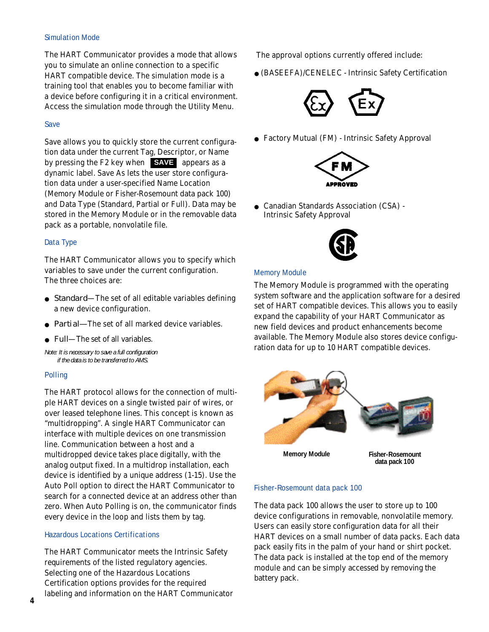#### Simulation Mode

The HART Communicator provides a mode that allows you to simulate an online connection to a specific HART compatible device. The simulation mode is a training tool that enables you to become familiar with a device before configuring it in a critical environment. Access the simulation mode through the Utility Menu.

#### Save

Save allows you to quickly store the current configuration data under the current Tag, Descriptor, or Name by pressing the F2 key when **SAVE** appears as a dynamic label. Save As lets the user store configuration data under a user-specified Name Location (Memory Module or Fisher-Rosemount data pack 100) and Data Type (Standard, Partial or Full). Data may be stored in the Memory Module or in the removable data pack as a portable, nonvolatile file.

#### Data Type

The HART Communicator allows you to specify which variables to save under the current configuration. The three choices are:

- *Standard*—The set of all editable variables defining a new device configuration.
- *Partial*—The set of all marked device variables.
- *Full*—The set of all variables.

*Note: It is necessary to save a full configuration if the data is to be transferred to AMS.*

#### Polling

The HART protocol allows for the connection of multiple HART devices on a single twisted pair of wires, or over leased telephone lines. This concept is known as "multidropping". A single HART Communicator can interface with multiple devices on one transmission line. Communication between a host and a multidropped device takes place digitally, with the analog output fixed. In a multidrop installation, each device is identified by a unique address (1-15). Use the Auto Poll option to direct the HART Communicator to search for a connected device at an address other than zero. When Auto Polling is on, the communicator finds every device in the loop and lists them by tag.

#### Hazardous Locations Certifications

The HART Communicator meets the Intrinsic Safety requirements of the listed regulatory agencies. Selecting one of the Hazardous Locations Certification options provides for the required labeling and information on the HART Communicator The approval options currently offered include:

● (BASEEFA)/CENELEC - Intrinsic Safety Certification



● Factory Mutual (FM) - Intrinsic Safety Approval



Canadian Standards Association (CSA) -Intrinsic Safety Approval



#### Memory Module

The Memory Module is programmed with the operating system software and the application software for a desired set of HART compatible devices. This allows you to easily expand the capability of your HART Communicator as new field devices and product enhancements become available. The Memory Module also stores device configuration data for up to 10 HART compatible devices.



**Memory Module Fisher-Rosemount data pack 100**

#### Fisher-Rosemount data pack 100

The data pack 100 allows the user to store up to 100 device configurations in removable, nonvolatile memory. Users can easily store configuration data for all their HART devices on a small number of data packs. Each data pack easily fits in the palm of your hand or shirt pocket. The data pack is installed at the top end of the memory module and can be simply accessed by removing the battery pack.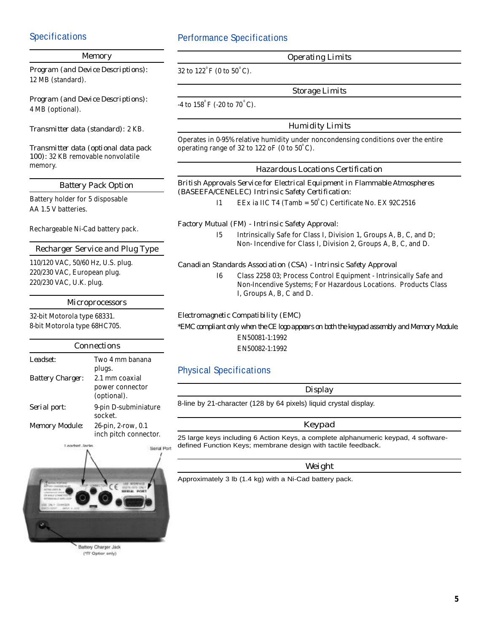## Specifications

#### *Memory*

*Program (and Device Descriptions):*  12 MB (standard).

*Program (and Device Descriptions):*  4 MB (optional).

*Transmitter data (standard):* 2 KB.

*Transmitter data (optional data pack 100):* 32 KB removable nonvolatile memory.

*Battery Pack Option*

Battery holder for 5 disposable AA 1.5 V batteries.

Rechargeable Ni-Cad battery pack.

*Recharger Service and Plug Type*

110/120 VAC, 50/60 Hz, U.S. plug. 220/230 VAC, European plug. 220/230 VAC, U.K. plug.

*Microprocessors*

32-bit Motorola type 68331. 8-bit Motorola type 68HC705.

| Connections             |                                                  |  |
|-------------------------|--------------------------------------------------|--|
| $I$ eadset:             | Two 4 mm banana<br>plugs.                        |  |
| <b>Battery Charger:</b> | 2.1 mm coaxial<br>power connector<br>(optional). |  |
| Serial port:            | 9-pin D-subminiature<br>socket.                  |  |
| <b>Memory Module:</b>   | 26-pin, 2-row, 0.1<br>inch pitch connector.      |  |



Battery Charger Jack ("IT Option only)

## Performance Specifications

*Operating Limits*

32 to  $122^{\circ}$  F (0 to  $50^{\circ}$ C).

*Storage Limits*

-4 to  $158^{\circ}$  F (-20 to 70 $^{\circ}$ C).

*Humidity Limits*

Operates in 0-95% relative humidity under noncondensing conditions over the entire operating range of 32 to 122 oF (0 to  $50^{\circ}$ C).

*Hazardous Locations Certification*

*British Approvals Service for Electrical Equipment in Flammable Atmospheres (BASEEFA/CENELEC) Intrinsic Safety Certification:*

I1 EEx ia IIC T4 (Tamb =  $50^{\circ}$ C) Certificate No. EX 92C2516

*Factory Mutual (FM) - Intrinsic Safety Approval:*

I5 Intrinsically Safe for Class I, Division 1, Groups A, B, C, and D; Non- Incendive for Class I, Division 2, Groups A, B, C, and D.

*Canadian Standards Association (CSA) - Intrinsic Safety Approval* 

I6 Class 2258 03; Process Control Equipment - Intrinsically Safe and Non-Incendive Systems; For Hazardous Locations. Products Class I, Groups A, B, C and D.

*Electromagnetic Compatibility (EMC)*

*\*EMC compliant only when the CE logo appears on both the keypad assembly and Memory Module.* EN50081-1:1992

EN50082-1:1992

## Physical Specifications

*Display*

8-line by 21-character (128 by 64 pixels) liquid crystal display.

*Keypad*

25 large keys including 6 Action Keys, a complete alphanumeric keypad, 4 softwaredefined Function Keys; membrane design with tactile feedback.

*Weight*

Approximately 3 lb (1.4 kg) with a Ni-Cad battery pack.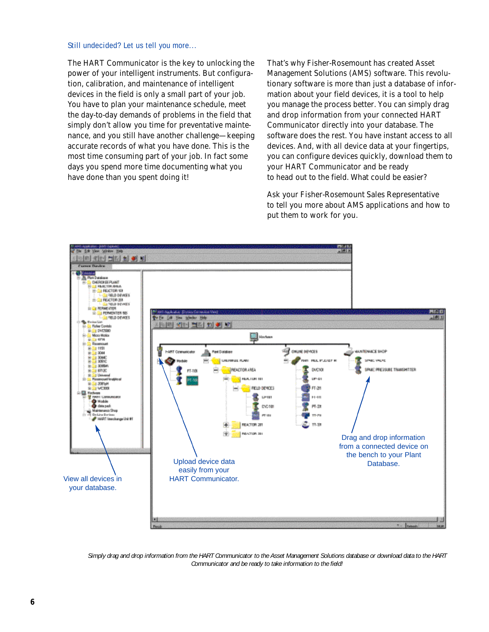#### Still undecided? Let us tell you more...

The HART Communicator is the key to unlocking the power of your intelligent instruments. But configuration, calibration, and maintenance of intelligent devices in the field is only a small part of your job. You have to plan your maintenance schedule, meet the day-to-day demands of problems in the field that simply don't allow you time for preventative maintenance, and you still have another challenge—keeping accurate records of what you have done. This is the most time consuming part of your job. In fact some days you spend more time documenting what you have done than you spent doing it!

That's why Fisher-Rosemount has created Asset Management Solutions (AMS) software. This revolutionary software is more than just a database of information about your field devices, it is a tool to help you manage the process better. You can simply drag and drop information from your connected HART Communicator directly into your database. The software does the rest. You have instant access to all devices. And, with all device data at your fingertips, you can configure devices quickly, download them to your HART Communicator and be ready to head out to the field. What could be easier?

Ask your Fisher-Rosemount Sales Representative to tell you more about AMS applications and how to put them to work for you.



*Simply drag and drop information from the HART Communicator to the Asset Management Solutions database or download data to the HART Communicator and be ready to take information to the field!*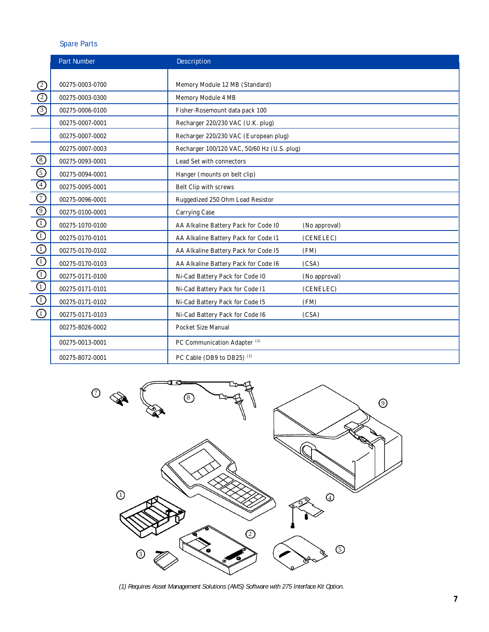## Spare Parts

|                                  | <b>Part Number</b> | <b>Description</b>                                    |
|----------------------------------|--------------------|-------------------------------------------------------|
|                                  |                    |                                                       |
| ②                                | 00275-0003-0700    | Memory Module 12 MB (Standard)                        |
| $\overline{\textcircled{2}}$     | 00275-0003-0300    | Memory Module 4 MB                                    |
| $\overline{\circledS}$           | 00275-0006-0100    | Fisher-Rosemount data pack 100                        |
|                                  | 00275-0007-0001    | Recharger 220/230 VAC (U.K. plug)                     |
|                                  | 00275-0007-0002    | Recharger 220/230 VAC (European plug)                 |
|                                  | 00275-0007-0003    | Recharger 100/120 VAC, 50/60 Hz (U.S. plug)           |
| $^{\circledR}$                   | 00275-0093-0001    | Lead Set with connectors                              |
| $\overline{\circledS}$           | 00275-0094-0001    | Hanger (mounts on belt clip)                          |
| $\overline{\bigcirc}$            | 00275-0095-0001    | Belt Clip with screws                                 |
| $\overline{\textcircled{\circ}}$ | 00275-0096-0001    | Ruggedized 250 Ohm Load Resistor                      |
| $\overline{\circledcirc}$        | 00275-0100-0001    | Carrying Case                                         |
| $\overline{\mathbb{O}}$          | 00275-1070-0100    | AA Alkaline Battery Pack for Code I0<br>(No approval) |
| $\overline{\bigcirc}$            | 00275-0170-0101    | AA Alkaline Battery Pack for Code I1<br>(CENELEC)     |
| $\bigcirc$                       | 00275-0170-0102    | AA Alkaline Battery Pack for Code I5<br>(FM)          |
| $\overline{\mathbb{O}}$          | 00275-0170-0103    | AA Alkaline Battery Pack for Code I6<br>(CSA)         |
| $\overline{\bigcirc}$            | 00275-0171-0100    | Ni-Cad Battery Pack for Code I0<br>(No approval)      |
| $\bigcirc$                       | 00275-0171-0101    | Ni-Cad Battery Pack for Code I1<br>(CENELEC)          |
| $\bigcirc$                       | 00275-0171-0102    | Ni-Cad Battery Pack for Code I5<br>(FM)               |
| $\bigcirc$                       | 00275-0171-0103    | Ni-Cad Battery Pack for Code I6<br>(CSA)              |
|                                  | 00275-8026-0002    | Pocket Size Manual                                    |
|                                  | 00275-0013-0001    | PC Communication Adapter <sup>(1)</sup>               |
|                                  | 00275-8072-0001    | PC Cable (DB9 to DB25) (1)                            |



*(1) Requires Asset Management Solutions (AMS) Software with 275 Interface Kit Option.*